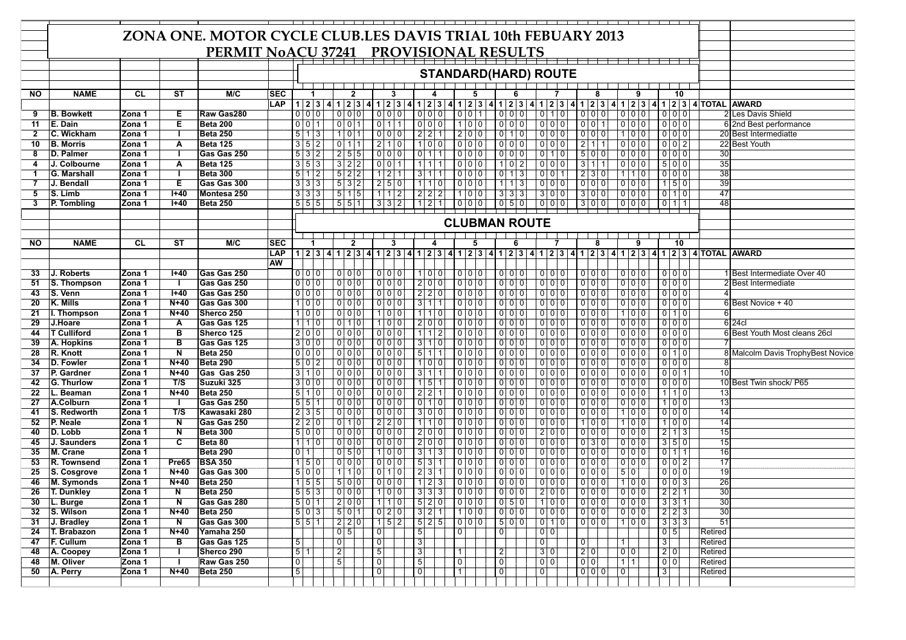|                |                    |           |                         | ZONA ONE. MOTOR CYCLE CLUB.LES DAVIS TRIAL 10th FEBUARY 2013 |            |                |                        |                       |                     |                    |                   |      |                     |                |                                                             |                               |                |                             |                 |                   |                  |       |                |                               |                 |                                                                                                               |
|----------------|--------------------|-----------|-------------------------|--------------------------------------------------------------|------------|----------------|------------------------|-----------------------|---------------------|--------------------|-------------------|------|---------------------|----------------|-------------------------------------------------------------|-------------------------------|----------------|-----------------------------|-----------------|-------------------|------------------|-------|----------------|-------------------------------|-----------------|---------------------------------------------------------------------------------------------------------------|
|                |                    |           |                         |                                                              |            |                |                        |                       |                     |                    |                   |      |                     |                |                                                             |                               |                |                             |                 |                   |                  |       |                |                               |                 |                                                                                                               |
|                |                    |           |                         | PERMIT NoACU 37241 PROVISIONAL RESULTS                       |            |                |                        |                       |                     |                    |                   |      |                     |                |                                                             |                               |                |                             |                 |                   |                  |       |                |                               |                 |                                                                                                               |
|                |                    |           |                         |                                                              |            |                |                        |                       |                     |                    |                   |      |                     |                |                                                             |                               |                |                             |                 |                   |                  |       |                |                               |                 |                                                                                                               |
|                |                    |           |                         |                                                              |            |                |                        |                       |                     |                    |                   |      |                     |                |                                                             |                               |                | <b>STANDARD(HARD) ROUTE</b> |                 |                   |                  |       |                |                               |                 |                                                                                                               |
|                |                    |           |                         |                                                              |            |                |                        |                       |                     |                    |                   |      |                     |                |                                                             |                               |                |                             |                 |                   |                  |       |                |                               |                 |                                                                                                               |
| <b>NO</b>      | <b>NAME</b>        | <b>CL</b> | $\overline{\text{ST}}$  | M/C                                                          | sec        |                | -1                     |                       | $\mathbf{2}$        |                    | 3                 |      |                     |                | 5                                                           | 6                             |                |                             |                 |                   |                  | 9     |                | 10                            |                 |                                                                                                               |
|                |                    |           |                         |                                                              | LAP        |                |                        | 1 2 3 4 1 2 3 4 1 2 3 |                     |                    |                   | l 41 |                     |                |                                                             | 1 2 3 4 1 2 3 4 1 2 3 4 1 2 3 |                |                             |                 |                   |                  |       |                |                               |                 | 1 2 3 4 1 2 3 4 1 2 3 4 7 0 TAL AWARD                                                                         |
| 9              | <b>B. Bowkett</b>  | Zona 1    | Е                       | Raw Gas280                                                   |            |                | 0 0 0                  |                       | 0 0 0               |                    | 0 0 0             |      | 0 0 0               |                | 0 0 1                                                       | $0\ 0\ 0$                     |                | $0$ 10                      |                 |                   |                  |       |                | 000                           |                 | 2 Les Davis Shield                                                                                            |
| 11             | E. Dain            | Zona 1    | Ε                       | Beta 200                                                     |            |                | 0 0 1                  | 001                   |                     |                    | $0 \ 1 \ 1$       |      | $\frac{1}{2}$       |                | $100$                                                       |                               |                |                             |                 | $0$ 0 1           |                  |       |                | 0 0 0                         |                 | 6 2nd Best performance                                                                                        |
| $\overline{2}$ | C. Wickham         | Zona 1    | H                       | <b>Beta 250</b>                                              |            |                | 5 1 3                  |                       | $101$               |                    |                   |      | 2 2 1               |                | $200$                                                       | $0$ 10                        |                | 000                         |                 | $0$ 0 0           |                  | $100$ |                | $000$                         |                 | 20 Best Intermediatte                                                                                         |
| 10             | <b>B. Morris</b>   | Zona 1    | $\overline{A}$          | <b>Beta 125</b>                                              |            |                | 3 5 2                  |                       | $0$ 11              |                    | $210$             |      | 100                 |                |                                                             |                               |                |                             |                 | $2 \mid 1 \mid 1$ |                  |       |                | $0$ 0 2                       |                 | 22 Best Youth                                                                                                 |
| 8              | D. Palmer          | Zona 1    | $\blacksquare$          | Gas Gas 250                                                  |            |                | 5 3 2                  |                       | 2 5 5               |                    |                   |      | $0$ 1 1             |                | 0 0 0                                                       | 000                           |                | 010                         |                 | 500               |                  | 000   |                | $0$ 0 0                       | 30              |                                                                                                               |
| 4              | J. Colbourne       | Zona 1    | A                       | <b>Beta 125</b>                                              |            |                | 3 5 3                  |                       | $3 \mid 2 \mid 2$   |                    | 001               |      | 1111                |                |                                                             | 102                           |                | 000                         |                 | $311$             |                  |       |                | 500                           | $\overline{35}$ |                                                                                                               |
| -1             | G. Marshall        | Zona 1    | $\mathbf{I}$            | <b>Beta 300</b>                                              |            |                | 5 1 2                  |                       | $5 \quad 2 \quad 2$ |                    | $121$             |      | 3 1 1               |                | $000$                                                       | $0 \mid 1 \mid 3$             |                | $0$ 0 1                     |                 | 230               |                  | 110   |                | 0 0 0                         | $\overline{38}$ |                                                                                                               |
| $\overline{7}$ | J. Bendall         | Zona 1    | Е                       | Gas Gas 300                                                  |            |                | 3 3 3                  |                       | $5 \mid 3 \mid 2$   |                    | $2 \mid 5 \mid 0$ |      | $110$               |                |                                                             | $1 \mid 1 \mid 3$             |                | 000                         |                 | 000               |                  |       |                | 150                           | 39              |                                                                                                               |
| 5              | S. Limb            | Zona 1    | $H+40$                  | Montesa 250                                                  |            |                | 3 3 3                  |                       | $5 \mid 1 \mid 5$   |                    |                   |      | 2 2 2               |                | $100$                                                       | 333                           |                | $300$                       |                 | $300$             |                  |       |                | $0 \mid 1 \mid 0$             | 47              |                                                                                                               |
| 3              | P. Tombling        | Zona 1    | $H + 40$                | Beta 250                                                     |            |                | 5 5 5                  |                       | 551                 |                    | $332$             |      | 121                 |                | $000$                                                       | 050                           | 000            |                             |                 | $300$             |                  |       |                | $0$   1  1                    | 48              |                                                                                                               |
|                |                    |           |                         |                                                              |            |                |                        |                       |                     |                    |                   |      |                     |                |                                                             |                               |                |                             |                 |                   |                  |       |                |                               |                 |                                                                                                               |
|                |                    |           |                         |                                                              |            |                |                        |                       |                     |                    |                   |      |                     |                |                                                             | <b>CLUBMAN ROUTE</b>          |                |                             |                 |                   |                  |       |                |                               |                 |                                                                                                               |
|                |                    |           |                         |                                                              |            |                |                        |                       |                     |                    |                   |      |                     |                |                                                             |                               |                |                             |                 |                   |                  |       |                |                               |                 |                                                                                                               |
|                |                    |           |                         |                                                              |            |                |                        |                       |                     |                    | 3                 |      |                     |                |                                                             |                               |                |                             |                 |                   |                  |       |                |                               |                 |                                                                                                               |
| <b>NO</b>      | <b>NAME</b>        | <b>CL</b> | ST                      | M/C                                                          | SEC        |                |                        |                       | $\mathbf{2}$        |                    |                   |      | 4                   |                | 5                                                           | 6                             |                |                             |                 |                   |                  | 9     |                | 10                            |                 |                                                                                                               |
|                |                    |           |                         |                                                              | <b>LAP</b> |                |                        |                       |                     |                    |                   |      |                     |                |                                                             |                               |                |                             |                 |                   |                  |       |                |                               |                 | 1 2 3 4 1 2 3 4 1 2 3 4 1 2 3 4 1 2 3 4 1 2 3 4 1 2 3 4 1 2 3 4 1 2 3 4 1 2 3 4 1 2 3 4 1 2 3 4 1 2 3 4 1 2 3 |
|                |                    |           |                         |                                                              | <b>AW</b>  |                |                        |                       |                     |                    |                   |      |                     |                |                                                             |                               |                |                             |                 |                   |                  |       |                |                               |                 |                                                                                                               |
| 33             | J. Roberts         | Zona 1    | $1 + 40$                | Gas Gas 250                                                  |            |                | 0 0 0                  | 0   0   0             |                     |                    |                   |      | 1 0 0               |                | 000                                                         |                               |                | 0 0 0                       |                 | 0 0 0             |                  |       |                |                               |                 | 1 Best Intermediate Over 40                                                                                   |
| 51             | S. Thompson        | Zona 1    | $\mathbf{I}$            | Gas Gas 250                                                  |            |                | $0\vert 0\vert 0\vert$ |                       | 000                 |                    | 000               |      | 2 0 0               |                |                                                             | 000                           |                |                             |                 | 000               |                  |       |                | 0 0 0                         |                 | 2 Best Intermediate                                                                                           |
| 43             | S. Venn            | Zona 1    | $I + 40$                | Gas Gas 250                                                  |            |                | 0 0 0                  |                       |                     |                    |                   |      | $2$ 2 0             |                | 000                                                         | 000                           |                |                             |                 | $0$ 0 0           |                  |       |                | $000$                         |                 |                                                                                                               |
| 20             | K. Mills           | Zona 1    | $N+40$                  | Gas Gas 300                                                  |            |                | 1 0 0                  |                       | $0$ 0 0             |                    | 0 0 0             |      | $3 \mid 1 \mid 1$   |                |                                                             | 0 0 0                         |                | 000                         |                 | 000               |                  |       |                | 000                           |                 | 6 Best Novice + 40                                                                                            |
| 21             | I. Thompson        | Zona 1    | $N+40$                  | Sherco 250                                                   |            |                | 1 0 0                  |                       | 000                 |                    | 100               |      | 110                 |                | 000                                                         | 000                           |                |                             |                 | 000               |                  | $100$ |                | 010                           |                 |                                                                                                               |
| 29             | J.Hoare            | Zona 1    | A                       | Gas Gas 125                                                  |            |                | $1 \mid 1 \mid 0$      |                       | 010                 |                    | $100$             |      | 2 0 0               |                | 000                                                         | 000                           |                | 000                         |                 | 000               |                  |       |                | 000                           |                 | 6 24cl                                                                                                        |
| 44             | <b>T Culliford</b> | Zona 1    | $\overline{B}$          | Sherco 125                                                   |            |                | 200                    |                       | $0$ 0 0             |                    | 0 0 0             |      | 1 1 2               |                | 0 0 0                                                       | $0$ 0 0                       |                | 000                         |                 | 0 0 0             |                  |       |                | 0 0 0                         |                 | 6 Best Youth Most cleans 26cl                                                                                 |
| 39             | A. Hopkins         | Zona 1    | $\overline{\mathsf{B}}$ | Gas Gas 125                                                  |            |                | 3 0 0                  |                       | 000                 |                    |                   |      | 3 1 0               |                | $000$                                                       | 000                           |                | 000                         |                 | 000               |                  |       |                | 0 0 0                         |                 |                                                                                                               |
| 28             | R. Knott           | Zona 1    | $\overline{\mathsf{N}}$ | <b>Beta 250</b>                                              |            |                | 0 0 0                  |                       | $0$ 0 0             |                    |                   |      | 5 1 1               |                | 0 0 0                                                       | $0\ 0\ 0$                     |                | 000                         |                 |                   |                  |       |                | 0110                          |                 | 8 Malcolm Davis TrophyBest Novice                                                                             |
| 34             | D. Fowler          | Zona 1    | $N+40$                  | Beta 290                                                     |            |                | 5 0 2                  |                       |                     |                    |                   |      | 1 0 0               |                |                                                             |                               |                | 000                         |                 | 000               |                  |       |                | 0 0 0                         |                 |                                                                                                               |
| 37             | P. Gardner         | Zona 1    | $N+40$                  | Gas Gas 250                                                  |            |                | 3 1 0                  |                       | 000                 |                    | 000               |      | 3111                |                | $000$                                                       | 000                           |                | $0$ 0 0                     |                 | $000$             |                  |       |                | 0011                          | $\overline{10}$ |                                                                                                               |
| 42             | G. Thurlow         | Zona 1    | T/S                     | Suzuki 325                                                   |            |                | 3 0 0                  |                       | 000                 |                    |                   |      | $1 \ 5 \ 1$         |                |                                                             | $0$ 0 0                       |                |                             |                 |                   |                  |       |                | 000                           |                 | 10 Best Twin shock/ P65                                                                                       |
| 22             | L. Beaman          | Zona 1    | $N+40$                  | <b>Beta 250</b>                                              |            |                | 5 1 0                  |                       | $0$ 0 0             |                    |                   |      | 2 2 1               |                |                                                             | 0 0 0                         |                | 000                         |                 | $0$ 0 0           |                  |       |                | 110                           | 13              |                                                                                                               |
| 27             | A.Colburn          | Zona 1    | -1                      | Gas Gas 250                                                  |            |                | 5 5 1                  |                       | 000                 |                    | 000               |      | $0 \mid 1 \mid 0$   |                | 000                                                         | 000                           |                | 000                         |                 | 000               |                  |       |                | 100                           | $\overline{13}$ |                                                                                                               |
| 41             | S. Redworth        | Zona 1    | T/S                     | Kawasaki 280                                                 |            |                | 2 3 5                  |                       | $0\ 0\ 0$           |                    | 000               |      | 300                 |                | $0$ 0 0                                                     | 000                           |                | 000                         |                 | $0$ 0 0           |                  | 100   |                | 0 0 0                         | $\overline{14}$ |                                                                                                               |
| 52             | P. Neale           | Zona 1    | N                       | Gas Gas 250                                                  |            |                | 2 2 0                  |                       | $0$ 10              |                    | 2 2 0             |      | $1 \quad 1 \quad 0$ |                |                                                             | 0 0 0                         |                |                             |                 | 100               |                  | $100$ |                | 1 0 0                         | 14              |                                                                                                               |
| 40             | D. Lobb            | Zona 1    | $\overline{N}$          | <b>Beta 300</b>                                              |            |                | 5 0 0                  |                       | 000                 |                    | 000               |      | 2 0 0               |                |                                                             | $0\ 0\ 0$                     |                | 2 0 0                       |                 | 000               |                  |       |                | $2 \mid 1 \mid 3$             | 15              |                                                                                                               |
| 45             | J. Saunders        | Zona 1    | $\overline{\mathbf{c}}$ | Beta 80                                                      |            |                | $1 \mid 1 \mid 0$      |                       | $0$ 0 0             |                    | 000               |      | 2 0 0               |                |                                                             | $0\ 0\ 0$                     |                | $0$ 0 0                     |                 | 0 3 0             |                  |       |                | 350                           | 15              |                                                                                                               |
| 35             | M. Crane           | Zona 1    |                         | <b>Beta 290</b>                                              |            | 0 1            |                        |                       | $0 \overline{5} 0$  |                    | $100$             |      | $3 \mid 1 \mid 3$   |                |                                                             | $0$ 0 0                       |                | 0 0 0                       |                 | $0$ 0 0           |                  |       |                | $0 \mid 1 \mid 1$             | 16              |                                                                                                               |
| 53             | R. Townsend        | Zona 1    | Pre65                   | <b>BSA 350</b>                                               |            |                | 1 5 0                  |                       | 000                 |                    |                   |      | $5 \mid 3 \mid 1$   |                | 000                                                         | 000                           |                | 0 0 0                       |                 | $0$ 0 0           |                  |       |                | 0 0 2                         | $\overline{17}$ |                                                                                                               |
| 25             | S. Cosgrove        | Zona 1    | $N+40$                  | Gas Gas 300                                                  |            |                | 5 0 0                  |                       | $110$               |                    | 010               |      | 2 3 1               |                |                                                             | $0\ 0\ 0$                     |                | 000                         |                 | $0$ 0 0           | 50               |       |                | 0 0 0                         | 19              |                                                                                                               |
| 46             | <b>M. Symonds</b>  | Zona 1    | $N+40$                  | <b>Beta 250</b>                                              |            |                | 1 55                   |                       | 5 0 0               |                    | 0 0 0             |      | $1 \mid 2 \mid 3$   |                | 0 0 0                                                       | 0 0 0                         |                | $0$ 0 0                     |                 | $0 \mid 0 \mid 0$ |                  | $100$ |                | 0 0 3                         | 26              |                                                                                                               |
| 26             | <b>T. Dunkley</b>  | Zona 1    | $\overline{N}$          | <b>Beta 250</b>                                              |            |                |                        | $5 5 3 $ 000          |                     |                    | 100               |      | 333                 |                | $\begin{array}{c c} \hline 0 & 0 & 0 \\ \hline \end{array}$ |                               | $200$          |                             |                 | 00000000          |                  |       |                |                               | 30              |                                                                                                               |
| 30             | L. Burge           | Zona 1    | $\overline{N}$          | Gas Gas 280                                                  |            |                |                        | $501$ 200 10 10 520   |                     |                    |                   |      |                     |                |                                                             | $ 0 0 0 $ $ 0 5 0 $ $ 1 0 0 $ |                |                             |                 |                   |                  |       |                | $ 0 0 0 $ $ 0 0 0 $ $ 3 3 1 $ | 30              |                                                                                                               |
| 32             | S. Wilson          | Zona 1    | N+40                    | Beta 250                                                     |            |                |                        | 503501020             |                     |                    |                   |      |                     |                |                                                             | 3211100000                    |                |                             |                 |                   |                  |       |                | $ 0 0 0 $ $ 0 0 0 $ $ 2 2 3 $ | 30              |                                                                                                               |
| 31             | J. Bradley         | Zona 1    | N                       | Gas Gas 300                                                  |            |                | 5 5 1                  | $220$                 |                     |                    | 152               |      | 525                 |                |                                                             | 500                           |                | 010                         |                 | 00001100          |                  |       |                | 1333                          | $\overline{51}$ |                                                                                                               |
| 24             | T. Brabazon        | Zona 1    | $N+40$                  | Yamaha 250                                                   |            |                |                        |                       | 05                  | $\boxed{0}$        |                   |      | $\overline{5}$      | $\overline{0}$ |                                                             | $\overline{0}$                | $0$ 0          |                             |                 |                   |                  |       |                | $0\overline{5}$               | Retired         |                                                                                                               |
| 47             | F. Cullum          | Zona 1    | в                       | Gas Gas 125                                                  |            | 5 <sub>1</sub> |                        | $\overline{0}$        |                     | $\boxed{0}$        |                   |      | 3                   |                |                                                             |                               | $\overline{0}$ |                             | 0               |                   | $\overline{1}$   |       | $\overline{3}$ |                               | Retired         |                                                                                                               |
| 48             | A. Coopey          | Zona 1    | $\mathbf{I}$            | Sherco 290                                                   |            | 5 1            |                        | $\vert$ <sup>2</sup>  |                     | $\overline{5}$     |                   |      | $\overline{3}$      | $\top$         |                                                             | 2                             | 3 0            |                             | 2 0             |                   | 0 <sub>0</sub>   |       |                | 2 0                           | Retired         |                                                                                                               |
| 48             | M. Oliver          | Zona 1    | $\mathbf{I}$            | Raw Gas 250                                                  |            | $\overline{0}$ |                        | $\overline{5}$        |                     | $\overline{\circ}$ |                   |      | 5Ţ                  | $\overline{0}$ |                                                             | $\overline{0}$                | $0$ 0          |                             | $0\overline{0}$ |                   | $\overline{111}$ |       | $0$ 0          |                               | Retired         |                                                                                                               |
|                |                    |           |                         | Beta 250                                                     |            | 5 <sup>1</sup> |                        |                       |                     | $\boxed{0}$        |                   |      | 0 <sup>1</sup>      | $\overline{1}$ |                                                             | 0                             |                |                             |                 |                   | $\overline{0}$   |       | $3 \mid$       |                               | Retired         |                                                                                                               |
| 50             | A. Perry           | Zona 1    | N+40                    |                                                              |            |                |                        |                       |                     |                    |                   |      |                     |                |                                                             |                               | 0              |                             |                 |                   |                  |       |                |                               |                 |                                                                                                               |
|                |                    |           |                         |                                                              |            |                |                        |                       |                     |                    |                   |      |                     |                |                                                             |                               |                |                             |                 |                   |                  |       |                |                               |                 |                                                                                                               |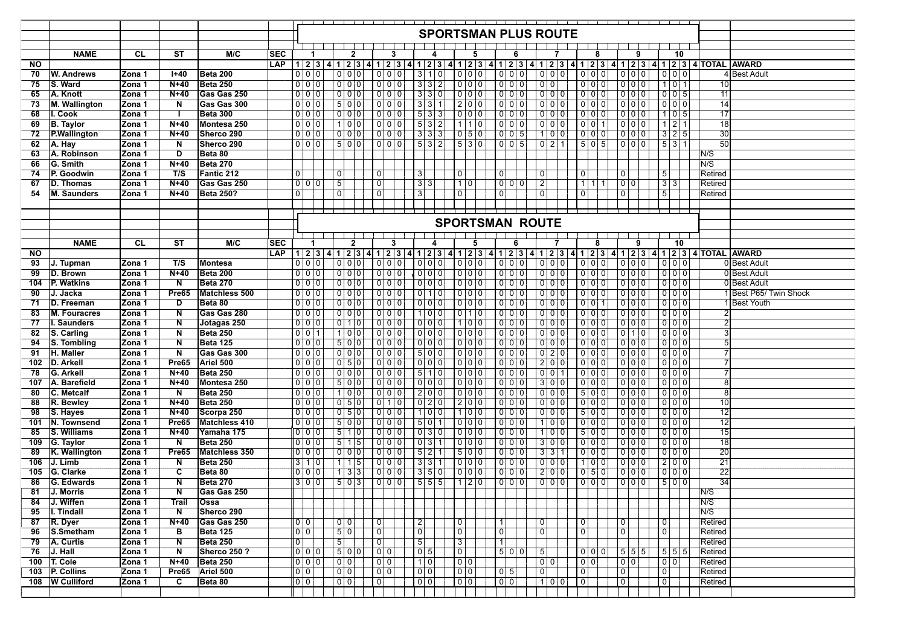|     |                      |           |                         |                  |            |                |                               |                   |                   |                    |         |                   |   |                |                          |                   |                        |                | <b>SPORTSMAN PLUS ROUTE</b> |                |                        |       |                 |                |                |                                                                           |                 |                                                                                                                              |  |
|-----|----------------------|-----------|-------------------------|------------------|------------|----------------|-------------------------------|-------------------|-------------------|--------------------|---------|-------------------|---|----------------|--------------------------|-------------------|------------------------|----------------|-----------------------------|----------------|------------------------|-------|-----------------|----------------|----------------|---------------------------------------------------------------------------|-----------------|------------------------------------------------------------------------------------------------------------------------------|--|
|     |                      |           |                         |                  |            |                |                               |                   |                   |                    |         |                   |   |                |                          |                   |                        |                |                             |                |                        |       |                 |                |                |                                                                           |                 |                                                                                                                              |  |
|     |                      | CL        |                         | M/C              |            |                |                               |                   |                   |                    |         |                   |   |                |                          |                   |                        |                |                             |                |                        |       |                 |                |                |                                                                           |                 |                                                                                                                              |  |
|     | <b>NAME</b>          |           | <b>ST</b>               |                  | <b>SEC</b> |                |                               |                   | $\mathbf{2}$      |                    | 3       |                   | 4 |                | 5                        |                   | 6                      |                |                             |                | 8                      |       |                 | 9              |                | 10                                                                        |                 |                                                                                                                              |  |
| NO. |                      |           |                         |                  | LAP        |                |                               |                   |                   |                    |         |                   |   |                |                          |                   |                        |                |                             |                |                        |       |                 |                |                |                                                                           |                 | 1 2 3 4 1 2 3 4 1 2 3 4 1 2 3 4 1 2 3 4 1 2 3 4 1 2 3 4 1 2 3 4 1 2 3 4 1 2 3 4 1 2 3 4 1 2 3 4 1 2 3 4 1 2 3 4 70 TAL AWARD |  |
| 70  | W. Andrews           | Zona 1    | $H + 40$                | Beta 200         |            |                | 0 0 0                         |                   | 0 0 0             |                    | 0 0 0   | 3 1 0             |   |                | 0 0 0                    | 0 0 0             |                        |                | $0$ $0$ $\overline{0}$      |                | 0 0 0                  |       |                 | 0 0 0          |                |                                                                           |                 | 4 Best Adult                                                                                                                 |  |
| 75  | S. Ward              | Zona 1    | $N+40$                  | <b>Beta 250</b>  |            |                | $0\overline{0}$               |                   | 0 0 0             |                    |         | $3 \mid 3 \mid 2$ |   |                |                          | $0$ 0 0           |                        |                | $0$ 0                       |                | 000                    |       |                 | 0 0 0          |                | $1$ 0 1                                                                   | 10              |                                                                                                                              |  |
| 65  | A. Knott             | Zona 1    | $N+40$                  | Gas Gas 250      |            |                | 0 0 0                         | $0\ 0\ 0$         |                   |                    | 0 0 0   | 330               |   |                |                          | 0 0 0             |                        |                | $0\ 0\ 0$                   |                | 000                    |       |                 |                |                | 0 0 5                                                                     | 11              |                                                                                                                              |  |
| 73  | <b>M. Wallington</b> | Zona 1    | $\overline{N}$          | Gas Gas 300      |            |                | 0 0 0                         | 500               |                   |                    | 000     | 331               |   |                | $200$                    | $0$ 0 0           |                        |                | 000                         |                | 000                    |       |                 | 000            |                | $0$ 0 0                                                                   | $\overline{14}$ |                                                                                                                              |  |
| 68  | I. Cook              | Zona 1    | $\mathbf{I}$            | <b>Beta 300</b>  |            |                | 0 0 0                         | 000               |                   |                    | 000     | 533               |   |                |                          | 000               |                        |                | $0\vert 0\vert 0$           |                | 000                    |       |                 | 000            |                |                                                                           | 17              |                                                                                                                              |  |
| 69  | <b>B.</b> Taylor     | Zona 1    | $N+40$                  | Montesa 250      |            |                | 0 0 0                         | 100               |                   |                    | $0$ 0 0 | 5 3 2             |   |                | $\overline{1}$   1  0    | $0$ 0 0           |                        |                | 0 0 0                       |                | $0$ 0 1                |       |                 | 0 0 0          |                | 2 1                                                                       | 18              |                                                                                                                              |  |
| 72  | <b>P.Wallington</b>  | Zona 1    | $N+40$                  | Sherco 290       |            |                | 0 0 0                         | 0 0 0             |                   |                    | 000     | 3 3 3             |   |                | 050                      | $0\overline{0}$ 5 |                        |                | 1 0 0                       |                | $0 \ 0 \ 0$            |       |                 | 000            |                | $3 \mid 2 \mid 5$                                                         | $\overline{30}$ |                                                                                                                              |  |
| 62  | A. Hay               | Zona 1    | N                       | Sherco 290       |            |                | 0 0 0                         |                   | 5 0 0             |                    | 0 0 0   | 5 3 2             |   |                | 5 3 0                    | 0 0 5             |                        |                | 0 2 1                       |                | $5 \ 0 \ 5$            |       |                 | 0 0 0          |                | 531                                                                       | 50              |                                                                                                                              |  |
| 63  | A. Robinson          | Zona 1    | D                       | Beta 80          |            |                |                               |                   |                   |                    |         |                   |   |                |                          |                   |                        |                |                             |                |                        |       |                 |                |                |                                                                           | N/S             |                                                                                                                              |  |
| 66  | G. Smith             | Zona 1    | $N+40$                  | <b>Beta 270</b>  |            |                |                               |                   |                   |                    |         |                   |   |                |                          |                   |                        |                |                             |                |                        |       |                 |                |                |                                                                           | N/S             |                                                                                                                              |  |
| 74  | P. Goodwin           | Zona 1    | T/S                     | Fantic 212       |            | $\overline{0}$ |                               | 0                 |                   | 0                  |         | 31                |   | 0              |                          | 0                 |                        | 0 <sup>1</sup> |                             |                | $\mathbf 0$            |       | $\overline{0}$  |                | 5 <sup>1</sup> |                                                                           | Retired         |                                                                                                                              |  |
| 67  | D. Thomas            | Zona 1    | $N+40$                  | Gas Gas 250      |            |                | 0 0 0                         | $\overline{5}$    |                   | 0                  |         | 3 3               |   |                | 1 0                      | 0 0 0             |                        | 2 <sup>1</sup> |                             |                | $1 \mid 1 \mid 1$      |       | 0 0             |                | 3 3            |                                                                           | Retired         |                                                                                                                              |  |
| 54  | M. Saunders          | Zona 1    | N+40                    | <b>Beta 250?</b> |            | $\overline{0}$ |                               | 0                 |                   | 0                  |         | 3 <sup>1</sup>    |   | $\overline{0}$ |                          | 0                 |                        | 0 <sup>1</sup> |                             |                | 0                      |       | $\overline{0}$  |                | 5              |                                                                           | Retired         |                                                                                                                              |  |
|     |                      |           |                         |                  |            |                |                               |                   |                   |                    |         |                   |   |                |                          |                   |                        |                |                             |                |                        |       |                 |                |                |                                                                           |                 |                                                                                                                              |  |
|     |                      |           |                         |                  |            |                |                               |                   |                   |                    |         |                   |   |                |                          |                   |                        |                |                             |                |                        |       |                 |                |                |                                                                           |                 |                                                                                                                              |  |
|     |                      |           |                         |                  |            |                |                               |                   |                   |                    |         |                   |   |                |                          |                   | <b>SPORTSMAN ROUTE</b> |                |                             |                |                        |       |                 |                |                |                                                                           |                 |                                                                                                                              |  |
|     |                      |           |                         |                  |            |                |                               |                   |                   |                    |         |                   |   |                |                          |                   |                        |                |                             |                |                        |       |                 |                |                |                                                                           |                 |                                                                                                                              |  |
|     | <b>NAME</b>          | <b>CL</b> | ST                      | M/C              | <b>SEC</b> |                | -1                            |                   | $\mathbf{2}$      |                    | 3       |                   | 4 |                | 5                        |                   | 6                      |                |                             |                | 8                      |       |                 | 9              |                | 10                                                                        |                 |                                                                                                                              |  |
| ΝO  |                      |           |                         |                  | <b>LAP</b> |                | 1 2 3 4 1 2 3 4 1 2 3 4 1 2 3 |                   |                   |                    |         |                   |   |                |                          |                   |                        |                |                             |                |                        |       |                 |                |                |                                                                           |                 | 4 1 2 3 4 1 2 3 4 1 2 3 4 1 2 3 4 1 2 3 4 1 2 3 4 1 2 3 4 1 2 3 4 7 0 TAL AWARD                                              |  |
| 93  | J. Tupman            | Zona 1    | T/S                     | Montesa          |            |                | 0 0 0                         | 0 0 0             |                   |                    |         | 0 0 0             |   |                |                          | $0$ 0 0           |                        |                | $0$ 0 0                     |                | 0 0 0                  |       |                 | 0 0 0          |                | $\begin{array}{c c c c c c c} \hline 0 & 0 & 0 & 0 \\ \hline \end{array}$ |                 | 0Best Adult                                                                                                                  |  |
| 99  | D. Brown             | Zona 1    | $N+40$                  | Beta 200         |            |                | 0 0 0                         | 0 0 0             |                   |                    |         | $\frac{1}{2}$     |   |                | $\overline{\frac{0}{0}}$ | $0$ 0 0           |                        |                | $0$ 0 0                     |                | 0 0 0                  |       |                 | 0 0 0          |                |                                                                           |                 | 0 Best Adult                                                                                                                 |  |
| 104 | P. Watkins           | Zona 1    | $\overline{N}$          | <b>Beta 270</b>  |            |                | 0 00                          | 000               |                   |                    | 000     | 000               |   |                | 000                      | 000               |                        |                | 000                         |                |                        |       |                 | $0$ 0 0        |                | 000                                                                       |                 | 0 Best Adult                                                                                                                 |  |
| 90  | J. Jacka             | Zona 1    | Pre65                   | Matchless 500    |            |                | 0 0 0                         | $0\ 0\ 0$         |                   |                    | 000     | 010               |   |                | 000                      | $0\ 0\ 0$         |                        |                | 000                         |                | 000                    |       |                 | 000            |                | 000                                                                       |                 | 1 Best P65/ Twin Shock                                                                                                       |  |
| 71  | D. Freeman           | Zona 1    | D                       | Beta 80          |            |                | 000                           | $0\ 0\ 0$         |                   |                    |         | 0 0 0             |   |                | 0 0 0                    | $0\vert 0\vert 0$ |                        |                | $0$ 0 0                     |                | 0011                   |       |                 | $0$ 0 0        |                | 000                                                                       |                 | 1 Best Youth                                                                                                                 |  |
| 83  | <b>M. Fouracres</b>  | Zona 1    | $\overline{\mathsf{N}}$ | Gas Gas 280      |            |                | 0 0 0                         |                   | 0 <sub>0</sub>    |                    | 000     | 1 0 0             |   |                | 010                      | $0\ 0\ 0$         |                        |                | $0\vert 0\vert 0$           |                | 000                    |       |                 | 000            |                | $0$ 0 0                                                                   |                 |                                                                                                                              |  |
|     |                      |           |                         |                  |            |                | 0 0 0                         |                   |                   |                    |         |                   |   |                | 100                      | $0$ 0 0           |                        |                | $0$ 0 0                     |                | 0 0 0                  |       |                 | $0$ 0 0        |                | 000                                                                       |                 |                                                                                                                              |  |
| 77  | I. Saunders          | Zona 1    | $\mathbf N$             | Jotagas 250      |            |                |                               |                   | $0 \mid 1 \mid 0$ |                    | 000     | 000               |   |                |                          |                   |                        |                |                             |                |                        |       |                 |                |                |                                                                           |                 |                                                                                                                              |  |
| 82  | S. Carling           | Zona 1    | N                       | <b>Beta 250</b>  |            |                | $0\vert 0\vert 1$             |                   | 100               |                    | 0 0 0   | 0 0 0             |   |                |                          | $0\vert 0\vert 0$ |                        |                | $0$ 0 0                     |                | 000                    |       |                 | 010            |                | 0 0 0                                                                     |                 |                                                                                                                              |  |
| 94  | S. Tombling          | Zona 1    | $\overline{\mathsf{N}}$ | <b>Beta 125</b>  |            |                | 0 0 0                         | 500               |                   |                    | 000     | 000               |   |                |                          | $0$ 0 0           |                        |                | 0 0 0                       |                | 000                    |       |                 | 000            |                | 0 0 0                                                                     |                 |                                                                                                                              |  |
| 91  | H. Maller            | Zona 1    | $\overline{\mathsf{N}}$ | Gas Gas 300      |            |                |                               | 000               |                   |                    | 000     | 500               |   |                |                          | 000               |                        |                | $0$ 2 0                     |                | 000                    |       |                 | 000            |                | $0$ 0 0                                                                   |                 |                                                                                                                              |  |
| 102 | D. Arkell            | Zona 1    | Pre65                   | Ariel 500        |            |                | 0 0 0                         |                   | 0 5 0             |                    | 0 0 0   | $0$ $0$ $0$       |   |                |                          | 000               |                        |                | 2 0 0                       |                | 000                    |       |                 | $0$ 0 0        |                | 0 0 0                                                                     |                 |                                                                                                                              |  |
| 78  | <b>G. Arkell</b>     | Zona 1    | $N+40$                  | <b>Beta 250</b>  |            |                | 0 0 0                         | 000               |                   |                    | 000     | 510               |   |                | 000                      | 000               |                        |                | $0$ 0 1                     |                | $000$                  |       |                 | 000            |                | $0$ 0 0                                                                   |                 |                                                                                                                              |  |
| 107 | A. Barefield         | Zona 1    | $N+40$                  | Montesa 250      |            |                | 0 0 0                         | 500               |                   |                    | $0$ 0 0 | $0$ 0 0           |   |                | 0 0 0                    | 000               |                        |                | 300                         |                | 0 0 0                  |       |                 | 000            |                | $0$ 0 0                                                                   |                 |                                                                                                                              |  |
| 80  | C. Metcalf           | Zona 1    | N                       | Beta 250         |            |                | 0 0 0                         | 1 0 0             |                   |                    | $0$ 0 0 | 200               |   |                |                          | $0$ 0 0           |                        |                | $0$ 0 0                     |                | $500$                  |       |                 | $0$ 0 0        |                |                                                                           | 8               |                                                                                                                              |  |
| 88  | R. Bewley            | Zona 1    | $N+40$                  | <b>Beta 250</b>  |            |                | $0\vert 0\vert 0$             | 050               |                   |                    | 010     | $0$ 2 0           |   |                | $200$                    | $0\ 0\ 0$         |                        |                | 000                         |                | $0 \mid 0 \mid 0 \mid$ |       |                 | 000            |                | 000                                                                       | 10              |                                                                                                                              |  |
| 98  | <b>S. Hayes</b>      | Zona 1    | $N+40$                  | Scorpa 250       |            |                | 0 0 0                         | $0$ 5 0           |                   |                    | 000     | 100               |   |                | $100$                    | 000               |                        |                | $0\ 0\ 0$                   |                | 500                    |       |                 | $0$ 0 0        |                | $0$ 0 0                                                                   | $\overline{12}$ |                                                                                                                              |  |
| 101 | N. Townsend          | Zona 1    | Pre65                   | Matchless 410    |            |                | 0 0 0                         | $500$             |                   |                    | 0 0 0   | 501               |   |                | $0\ 0\ 0$                | $0\vert 0\vert 0$ |                        |                | 1 0 0                       |                | 000                    |       |                 | 000            |                | 000                                                                       | 12              |                                                                                                                              |  |
| 85  | S. Williams          | Zona 1    | $N+40$                  | Yamaha 175       |            |                | 0 0 0                         | $510$             |                   |                    | 000     | 030               |   |                | 000                      | $0\ 0\ 0$         |                        |                | 100                         |                | 500                    |       |                 | 000            |                |                                                                           | $\overline{15}$ |                                                                                                                              |  |
| 109 | G. Taylor            | Zona 1    | $\mathbf N$             | Beta 250         |            |                | 0 0 0                         | $5 \ 1 \ 5$       |                   |                    | 000     | $0 \ 3 \ 1$       |   |                | $0$ 0 0                  | $0\quad0\quad0$   |                        |                | 300                         |                | 000                    |       |                 | 000            |                | 0 0 0                                                                     | $\overline{18}$ |                                                                                                                              |  |
| 89  | K. Wallington        | Zona 1    | Pre65                   | Matchless 350    |            |                | 0 0 0                         | 0 0 0             |                   |                    |         | $5 \mid 2 \mid 1$ |   |                | 500                      | $0$ 0 0           |                        |                | $331$                       |                | 000                    |       |                 | $0$ 0 0        |                | 0 0 0                                                                     | 20              |                                                                                                                              |  |
| 106 | J. Limb              | Zona 1    | N                       | <b>Beta 250</b>  |            |                | 3 1 0                         | $1 \mid 1 \mid 5$ |                   |                    | 000     | 331               |   |                |                          | $0\ 0\ 0$         |                        |                | $0$ 0 0                     |                | 100                    |       |                 | $000$          |                | 2 0 0                                                                     | $\overline{21}$ |                                                                                                                              |  |
| 105 | G. Clarke            | Zona 1    | $\overline{\mathbf{c}}$ | Beta 80          |            |                | 0 0 0                         |                   | $1 \mid 3 \mid 3$ |                    | 000     | 3 5 0             |   |                |                          | $0\ 0\ 0$         |                        |                | 2 0 0                       |                | $0 \ 5 \ 0$            |       |                 | 000            |                | 000                                                                       | $\overline{22}$ |                                                                                                                              |  |
| 86  | G. Edwards           | Zona 1    | N                       | <b>Beta 270</b>  |            |                | 3 0 0                         | 503               |                   |                    | 000     | $5 \mid 5 \mid 5$ |   |                | 1 2 0                    | $0\ 0\ 0$         |                        |                | 0 <sub>0</sub>              |                | $0$ 0 0                |       |                 |                |                | 500                                                                       | 34              |                                                                                                                              |  |
| 81  | J. Morris            | Zona 1    | $\overline{\mathsf{N}}$ | Gas Gas 250      |            |                |                               |                   |                   |                    |         |                   |   |                |                          |                   |                        |                |                             |                |                        |       |                 |                |                |                                                                           | N/S             |                                                                                                                              |  |
|     | 84 J. Wiffen         | Zona 1    | <b>Trail</b>            | Ossa             |            |                |                               |                   |                   |                    |         |                   |   |                |                          |                   |                        |                |                             |                |                        |       |                 |                |                |                                                                           | N/S             |                                                                                                                              |  |
| 95  | I. Tindall           | Zona 1    | N                       | Sherco 290       |            |                |                               |                   |                   |                    |         |                   |   |                |                          |                   |                        |                |                             |                |                        |       |                 |                |                |                                                                           | N/S             |                                                                                                                              |  |
|     | 87 R. Dyer           | Zona 1    | N+40                    | Gas Gas 250      |            | 0 0            |                               | 0 0               |                   | $\overline{0}$     |         | 2                 |   | 0              |                          | $\overline{1}$    |                        | 0              |                             |                | 0                      |       | $\vert 0 \vert$ |                | 0              |                                                                           | Retired         |                                                                                                                              |  |
|     | 96 S.Smetham         | Zona 1    | $\overline{B}$          | Beta 125         |            | 0 0            |                               | 50                |                   | $\overline{\circ}$ |         | 0 <sup>1</sup>    |   | $\boxed{0}$    |                          | $\overline{0}$    |                        | 0              |                             |                | $\overline{0}$         |       | $\overline{0}$  |                | 0 I            |                                                                           | Retired         |                                                                                                                              |  |
| 79  | A. Curtis            | Zona 1    | N                       | Beta 250         |            | $\overline{0}$ |                               | $5 \mid$          |                   | $\boxed{0}$        |         | $\overline{5}$    |   | $\sqrt{3}$     |                          | $\overline{1}$    |                        |                |                             |                |                        |       |                 |                |                |                                                                           | Retired         |                                                                                                                              |  |
| 76  | J. Hall              | Zona 1    | $\overline{N}$          | Sherco 250 ?     |            |                | $0 0 0$                       | 500               |                   |                    | 0 0     | 0 5               |   | $\overline{0}$ |                          | 500               |                        | 5 <sup>1</sup> |                             |                |                        | 0 0 0 |                 | 555            |                | 5 5 5                                                                     | Retired         |                                                                                                                              |  |
|     | 100   T. Cole        | Zona 1    | $N+40$                  | <b>Beta 250</b>  |            |                | $0\ 0\ 0$                     | 00                |                   |                    | 0 0     | 1 0               |   | $0$ 0          |                          |                   |                        | 0 <sub>0</sub> |                             |                | 010                    |       |                 | 0 <sub>0</sub> | 0 0            |                                                                           | Retired         |                                                                                                                              |  |
|     | P. Collins           |           |                         | Ariel 500        |            | 0 0            |                               | 0 0               |                   |                    | $0$ 0   | 0 0               |   | 0 <sub>0</sub> |                          | 0 5               |                        | $\overline{0}$ |                             |                | $\overline{0}$         |       | $\overline{0}$  |                | $\overline{0}$ |                                                                           | Retired         |                                                                                                                              |  |
| 103 |                      | Zona 1    | Pre65                   |                  |            |                |                               |                   |                   |                    |         |                   |   |                |                          |                   |                        |                |                             |                |                        |       |                 |                |                |                                                                           |                 |                                                                                                                              |  |
|     | 108   W Culliford    | Zona 1    | C                       | Beta 80          |            | $0$ 0          |                               | 0 0               |                   | $\boxed{0}$        |         | 0 0               |   | 0 <sub>0</sub> |                          | $0$ 0             |                        |                | 1 0 0                       | $\overline{0}$ |                        |       | $\overline{0}$  |                | $\boxed{0}$    |                                                                           | Retired         |                                                                                                                              |  |
|     |                      |           |                         |                  |            |                |                               |                   |                   |                    |         |                   |   |                |                          |                   |                        |                |                             |                |                        |       |                 |                |                |                                                                           |                 |                                                                                                                              |  |